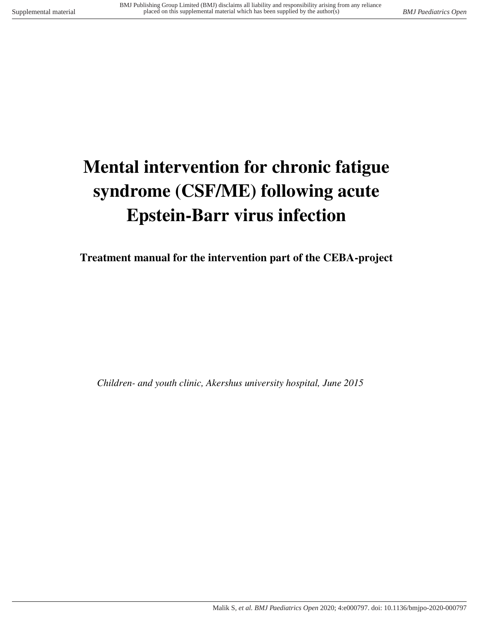# **Mental intervention for chronic fatigue syndrome (CSF/ME) following acute Epstein-Barr virus infection**

**Treatment manual for the intervention part of the CEBA-project** 

*Children- and youth clinic, Akershus university hospital, June 2015*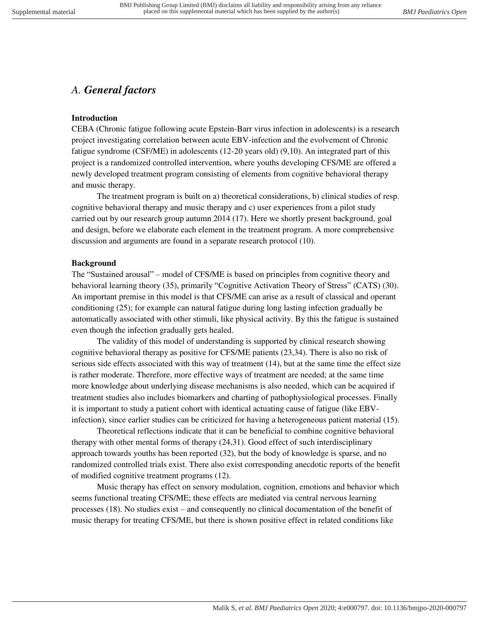## *A. General factors*

#### **Introduction**

CEBA (Chronic fatigue following acute Epstein-Barr virus infection in adolescents) is a research project investigating correlation between acute EBV-infection and the evolvement of Chronic fatigue syndrome (CSF/ME) in adolescents (12-20 years old) (9,10). An integrated part of this project is a randomized controlled intervention, where youths developing CFS/ME are offered a newly developed treatment program consisting of elements from cognitive behavioral therapy and music therapy.

 The treatment program is built on a) theoretical considerations, b) clinical studies of resp. cognitive behavioral therapy and music therapy and c) user experiences from a pilot study carried out by our research group autumn 2014 (17). Here we shortly present background, goal and design, before we elaborate each element in the treatment program. A more comprehensive discussion and arguments are found in a separate research protocol (10).

#### **Background**

The "Sustained arousal" – model of CFS/ME is based on principles from cognitive theory and behavioral learning theory (35), primarily "Cognitive Activation Theory of Stress" (CATS) (30). An important premise in this model is that CFS/ME can arise as a result of classical and operant conditioning (25); for example can natural fatigue during long lasting infection gradually be automatically associated with other stimuli, like physical activity. By this the fatigue is sustained even though the infection gradually gets healed.

 The validity of this model of understanding is supported by clinical research showing cognitive behavioral therapy as positive for CFS/ME patients (23,34). There is also no risk of serious side effects associated with this way of treatment (14), but at the same time the effect size is rather moderate. Therefore, more effective ways of treatment are needed; at the same time more knowledge about underlying disease mechanisms is also needed, which can be acquired if treatment studies also includes biomarkers and charting of pathophysiological processes. Finally it is important to study a patient cohort with identical actuating cause of fatigue (like EBVinfection), since earlier studies can be criticized for having a heterogeneous patient material (15).

 Theoretical reflections indicate that it can be beneficial to combine cognitive behavioral therapy with other mental forms of therapy (24,31). Good effect of such interdisciplinary approach towards youths has been reported (32), but the body of knowledge is sparse, and no randomized controlled trials exist. There also exist corresponding anecdotic reports of the benefit of modified cognitive treatment programs (12).

 Music therapy has effect on sensory modulation, cognition, emotions and behavior which seems functional treating CFS/ME; these effects are mediated via central nervous learning processes (18). No studies exist – and consequently no clinical documentation of the benefit of music therapy for treating CFS/ME, but there is shown positive effect in related conditions like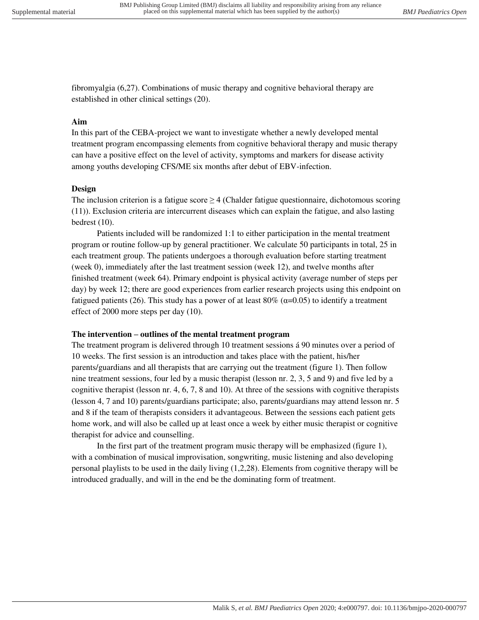fibromyalgia (6,27). Combinations of music therapy and cognitive behavioral therapy are established in other clinical settings (20).

#### **Aim**

In this part of the CEBA-project we want to investigate whether a newly developed mental treatment program encompassing elements from cognitive behavioral therapy and music therapy can have a positive effect on the level of activity, symptoms and markers for disease activity among youths developing CFS/ME six months after debut of EBV-infection.

#### **Design**

The inclusion criterion is a fatigue score  $\geq$  4 (Chalder fatigue questionnaire, dichotomous scoring (11)). Exclusion criteria are intercurrent diseases which can explain the fatigue, and also lasting bedrest (10).

 Patients included will be randomized 1:1 to either participation in the mental treatment program or routine follow-up by general practitioner. We calculate 50 participants in total, 25 in each treatment group. The patients undergoes a thorough evaluation before starting treatment (week 0), immediately after the last treatment session (week 12), and twelve months after finished treatment (week 64). Primary endpoint is physical activity (average number of steps per day) by week 12; there are good experiences from earlier research projects using this endpoint on fatigued patients (26). This study has a power of at least  $80\%$  ( $\alpha$ =0.05) to identify a treatment effect of 2000 more steps per day (10).

#### **The intervention – outlines of the mental treatment program**

The treatment program is delivered through 10 treatment sessions á 90 minutes over a period of 10 weeks. The first session is an introduction and takes place with the patient, his/her parents/guardians and all therapists that are carrying out the treatment (figure 1). Then follow nine treatment sessions, four led by a music therapist (lesson nr. 2, 3, 5 and 9) and five led by a cognitive therapist (lesson nr. 4, 6, 7, 8 and 10). At three of the sessions with cognitive therapists (lesson 4, 7 and 10) parents/guardians participate; also, parents/guardians may attend lesson nr. 5 and 8 if the team of therapists considers it advantageous. Between the sessions each patient gets home work, and will also be called up at least once a week by either music therapist or cognitive therapist for advice and counselling.

 In the first part of the treatment program music therapy will be emphasized (figure 1), with a combination of musical improvisation, songwriting, music listening and also developing personal playlists to be used in the daily living (1,2,28). Elements from cognitive therapy will be introduced gradually, and will in the end be the dominating form of treatment.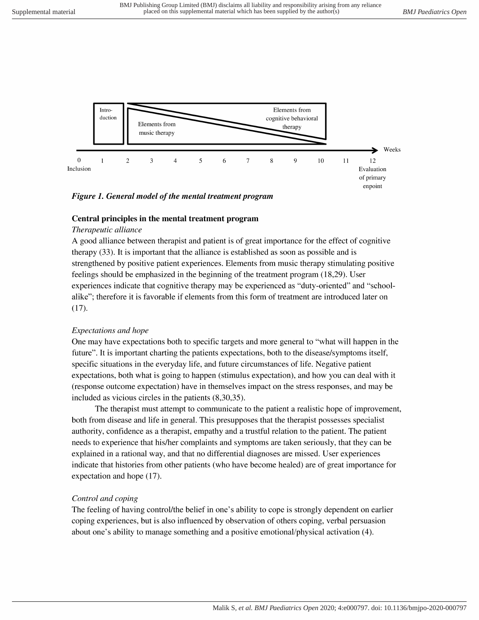

#### Figure 1. General model of the mental treatment program

#### Central principles in the mental treatment program

#### Therapeutic alliance

A good alliance between therapist and patient is of great importance for the effect of cognitive therapy (33). It is important that the alliance is established as soon as possible and is strengthened by positive patient experiences. Elements from music therapy stimulating positive feelings should be emphasized in the beginning of the treatment program (18,29). User experiences indicate that cognitive therapy may be experienced as "duty-oriented" and "schoolalike"; therefore it is favorable if elements from this form of treatment are introduced later on  $(17).$ 

#### Expectations and hope

One may have expectations both to specific targets and more general to "what will happen in the future". It is important charting the patients expectations, both to the disease/symptoms itself, specific situations in the everyday life, and future circumstances of life. Negative patient expectations, both what is going to happen (stimulus expectation), and how you can deal with it (response outcome expectation) have in themselves impact on the stress responses, and may be included as vicious circles in the patients  $(8,30,35)$ .

The therapist must attempt to communicate to the patient a realistic hope of improvement, both from disease and life in general. This presupposes that the therapist possesses specialist authority, confidence as a therapist, empathy and a trustful relation to the patient. The patient needs to experience that his/her complaints and symptoms are taken seriously, that they can be explained in a rational way, and that no differential diagnoses are missed. User experiences indicate that histories from other patients (who have become healed) are of great importance for expectation and hope (17).

#### Control and coping

The feeling of having control/the belief in one's ability to cope is strongly dependent on earlier coping experiences, but is also influenced by observation of others coping, verbal persuasion about one's ability to manage something and a positive emotional/physical activation (4).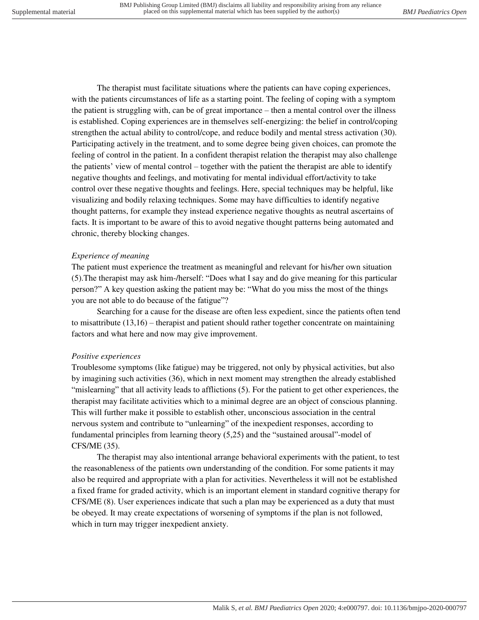The therapist must facilitate situations where the patients can have coping experiences, with the patients circumstances of life as a starting point. The feeling of coping with a symptom the patient is struggling with, can be of great importance – then a mental control over the illness is established. Coping experiences are in themselves self-energizing: the belief in control/coping strengthen the actual ability to control/cope, and reduce bodily and mental stress activation (30). Participating actively in the treatment, and to some degree being given choices, can promote the feeling of control in the patient. In a confident therapist relation the therapist may also challenge the patients' view of mental control – together with the patient the therapist are able to identify negative thoughts and feelings, and motivating for mental individual effort/activity to take control over these negative thoughts and feelings. Here, special techniques may be helpful, like visualizing and bodily relaxing techniques. Some may have difficulties to identify negative thought patterns, for example they instead experience negative thoughts as neutral ascertains of facts. It is important to be aware of this to avoid negative thought patterns being automated and chronic, thereby blocking changes.

#### *Experience of meaning*

The patient must experience the treatment as meaningful and relevant for his/her own situation (5).The therapist may ask him-/herself: "Does what I say and do give meaning for this particular person?" A key question asking the patient may be: "What do you miss the most of the things you are not able to do because of the fatigue"?

 Searching for a cause for the disease are often less expedient, since the patients often tend to misattribute (13,16) – therapist and patient should rather together concentrate on maintaining factors and what here and now may give improvement.

#### *Positive experiences*

Troublesome symptoms (like fatigue) may be triggered, not only by physical activities, but also by imagining such activities (36), which in next moment may strengthen the already established "mislearning" that all activity leads to afflictions (5). For the patient to get other experiences, the therapist may facilitate activities which to a minimal degree are an object of conscious planning. This will further make it possible to establish other, unconscious association in the central nervous system and contribute to "unlearning" of the inexpedient responses, according to fundamental principles from learning theory (5,25) and the "sustained arousal"-model of CFS/ME (35).

 The therapist may also intentional arrange behavioral experiments with the patient, to test the reasonableness of the patients own understanding of the condition. For some patients it may also be required and appropriate with a plan for activities. Nevertheless it will not be established a fixed frame for graded activity, which is an important element in standard cognitive therapy for CFS/ME (8). User experiences indicate that such a plan may be experienced as a duty that must be obeyed. It may create expectations of worsening of symptoms if the plan is not followed, which in turn may trigger inexpedient anxiety.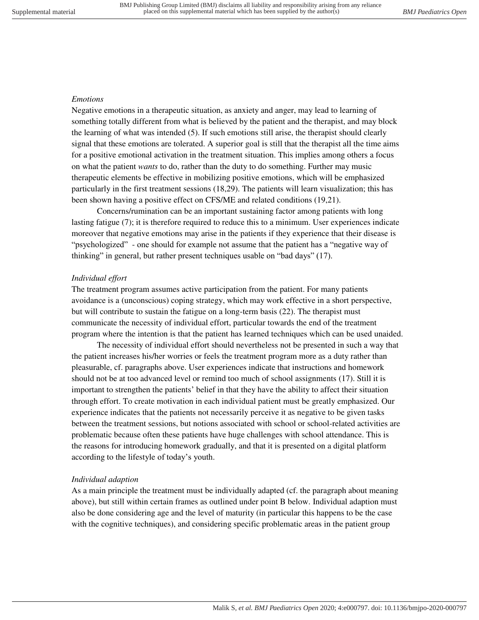#### *Emotions*

Negative emotions in a therapeutic situation, as anxiety and anger, may lead to learning of something totally different from what is believed by the patient and the therapist, and may block the learning of what was intended (5). If such emotions still arise, the therapist should clearly signal that these emotions are tolerated. A superior goal is still that the therapist all the time aims for a positive emotional activation in the treatment situation. This implies among others a focus on what the patient *wants* to do, rather than the duty to do something. Further may music therapeutic elements be effective in mobilizing positive emotions, which will be emphasized particularly in the first treatment sessions (18,29). The patients will learn visualization; this has been shown having a positive effect on CFS/ME and related conditions (19,21).

 Concerns/rumination can be an important sustaining factor among patients with long lasting fatigue (7); it is therefore required to reduce this to a minimum. User experiences indicate moreover that negative emotions may arise in the patients if they experience that their disease is "psychologized" - one should for example not assume that the patient has a "negative way of thinking" in general, but rather present techniques usable on "bad days" (17).

#### *Individual effort*

The treatment program assumes active participation from the patient. For many patients avoidance is a (unconscious) coping strategy, which may work effective in a short perspective, but will contribute to sustain the fatigue on a long-term basis (22). The therapist must communicate the necessity of individual effort, particular towards the end of the treatment program where the intention is that the patient has learned techniques which can be used unaided.

 The necessity of individual effort should nevertheless not be presented in such a way that the patient increases his/her worries or feels the treatment program more as a duty rather than pleasurable, cf. paragraphs above. User experiences indicate that instructions and homework should not be at too advanced level or remind too much of school assignments (17). Still it is important to strengthen the patients' belief in that they have the ability to affect their situation through effort. To create motivation in each individual patient must be greatly emphasized. Our experience indicates that the patients not necessarily perceive it as negative to be given tasks between the treatment sessions, but notions associated with school or school-related activities are problematic because often these patients have huge challenges with school attendance. This is the reasons for introducing homework gradually, and that it is presented on a digital platform according to the lifestyle of today's youth.

#### *Individual adaption*

As a main principle the treatment must be individually adapted (cf. the paragraph about meaning above), but still within certain frames as outlined under point B below. Individual adaption must also be done considering age and the level of maturity (in particular this happens to be the case with the cognitive techniques), and considering specific problematic areas in the patient group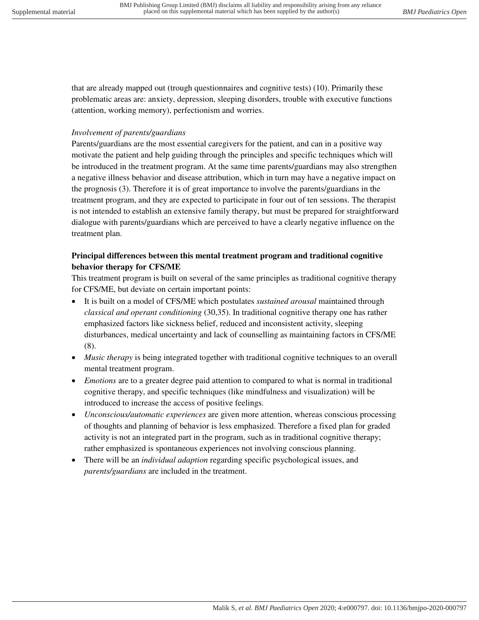that are already mapped out (trough questionnaires and cognitive tests) (10). Primarily these problematic areas are: anxiety, depression, sleeping disorders, trouble with executive functions (attention, working memory), perfectionism and worries.

#### *Involvement of parents/guardians*

Parents/guardians are the most essential caregivers for the patient, and can in a positive way motivate the patient and help guiding through the principles and specific techniques which will be introduced in the treatment program. At the same time parents/guardians may also strengthen a negative illness behavior and disease attribution, which in turn may have a negative impact on the prognosis (3). Therefore it is of great importance to involve the parents/guardians in the treatment program, and they are expected to participate in four out of ten sessions. The therapist is not intended to establish an extensive family therapy, but must be prepared for straightforward dialogue with parents/guardians which are perceived to have a clearly negative influence on the treatment plan.

## **Principal differences between this mental treatment program and traditional cognitive behavior therapy for CFS/ME**

This treatment program is built on several of the same principles as traditional cognitive therapy for CFS/ME, but deviate on certain important points:

- It is built on a model of CFS/ME which postulates *sustained arousal* maintained through *classical and operant conditioning* (30,35). In traditional cognitive therapy one has rather emphasized factors like sickness belief, reduced and inconsistent activity, sleeping disturbances, medical uncertainty and lack of counselling as maintaining factors in CFS/ME (8).
- *Music therapy* is being integrated together with traditional cognitive techniques to an overall mental treatment program.
- *Emotions* are to a greater degree paid attention to compared to what is normal in traditional cognitive therapy, and specific techniques (like mindfulness and visualization) will be introduced to increase the access of positive feelings.
- *Unconscious/automatic experiences* are given more attention, whereas conscious processing of thoughts and planning of behavior is less emphasized. Therefore a fixed plan for graded activity is not an integrated part in the program, such as in traditional cognitive therapy; rather emphasized is spontaneous experiences not involving conscious planning.
- There will be an *individual adaption* regarding specific psychological issues, and *parents/guardians* are included in the treatment.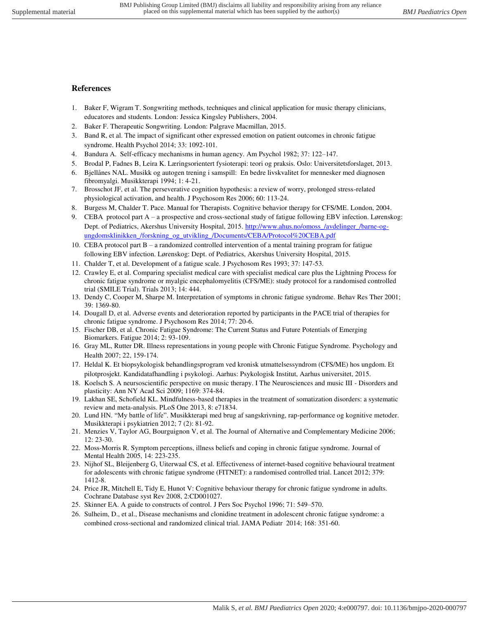#### **References**

- 1. Baker F, Wigram T. Songwriting methods, techniques and clinical application for music therapy clinicians, educatores and students. London: Jessica Kingsley Publishers, 2004.
- 2. Baker F. Therapeutic Songwriting*.* London: Palgrave Macmillan, 2015.
- 3. Band R, et al. The impact of significant other expressed emotion on patient outcomes in chronic fatigue syndrome. Health Psychol 2014; 33: 1092-101.
- 4. Bandura A. Self-efficacy mechanisms in human agency. Am Psychol 1982; 37: 122–147.
- 5. Brodal P, Fadnes B, Leira K. Læringsorientert fysioterapi: teori og praksis. Oslo: Universitetsforslaget, 2013.
- 6. Bjellånes NAL. Musikk og autogen trening i samspill: En bedre livskvalitet for mennesker med diagnosen fibromyalgi. Musikkterapi 1994; 1: 4-21.
- 7. Brosschot JF, et al. The perseverative cognition hypothesis: a review of worry, prolonged stress-related physiological activation, and health. J Psychosom Res 2006; 60: 113-24.
- 8. Burgess M, Chalder T. Pace. Manual for Therapists. Cognitive behavior therapy for CFS/ME. London, 2004.
- 9. CEBA protocol part A a prospective and cross-sectional study of fatigue following EBV infection. Lørenskog: Dept. of Pediatrics, Akershus University Hospital, 2015[. http://www.ahus.no/omoss\\_/avdelinger\\_/barne-og](http://www.ahus.no/omoss_/avdelinger_/barne-og-ungdomsklinikken_/forskning_og_utvikling_/Documents/CEBA/Protocol%20CEBA.pdf)ungdomsklinikken /forskning\_og\_utvikling\_/Documents/CEBA/Protocol%20CEBA.pdf
- 10. CEBA protocol part B a randomized controlled intervention of a mental training program for fatigue following EBV infection. Lørenskog: Dept. of Pediatrics, Akershus University Hospital, 2015.
- 11. Chalder T, et al. Development of a fatigue scale. J Psychosom Res 1993; 37: 147-53.
- 12. Crawley E, et al. Comparing specialist medical care with specialist medical care plus the Lightning Process for chronic fatigue syndrome or myalgic encephalomyelitis (CFS/ME): study protocol for a randomised controlled trial (SMILE Trial). Trials 2013; 14: 444.
- 13. Dendy C, Cooper M, Sharpe M. Interpretation of symptoms in chronic fatigue syndrome. Behav Res Ther 2001; 39: 1369-80.
- 14. Dougall D, et al. Adverse events and deterioration reported by participants in the PACE trial of therapies for chronic fatigue syndrome. J Psychosom Res 2014; 77: 20-6.
- 15. Fischer DB, et al. Chronic Fatigue Syndrome: The Current Status and Future Potentials of Emerging Biomarkers. Fatigue 2014; 2: 93-109.
- 16. Gray ML, Rutter DR. Illness representations in young people with Chronic Fatigue Syndrome. Psychology and Health 2007; 22, 159-174.
- 17. Heldal K. Et biopsykologisk behandlingsprogram ved kronisk utmattelsessyndrom (CFS/ME) hos ungdom. Et pilotprosjekt. Kandidatafhandling i psykologi. Aarhus: Psykologisk Institut, Aarhus universitet, 2015.
- 18. Koelsch S. A neursoscientific perspective on music therapy. I The Neurosciences and music III Disorders and plasticity: Ann NY Acad Sci 2009; 1169: 374-84.
- 19. Lakhan SE, Schofield KL. Mindfulness-based therapies in the treatment of somatization disorders: a systematic review and meta-analysis. PLoS One 2013, 8: e71834.
- 20. Lund HN. "My battle of life". Musikkterapi med brug af sangskrivning, rap-performance og kognitive metoder. Musikkterapi i psykiatrien 2012; 7 (2): 81-92.
- 21. Menzies V, Taylor AG, Bourguignon V, et al. The Journal of Alternative and Complementary Medicine 2006; 12: 23-30.
- 22. Moss-Morris R. Symptom perceptions, illness beliefs and coping in chronic fatigue syndrome. Journal of Mental Health 2005, 14: 223-235.
- 23. Nijhof SL, Bleijenberg G, Uiterwaal CS, et al. Effectiveness of internet-based cognitive behavioural treatment for adolescents with chronic fatigue syndrome (FITNET): a randomised controlled trial. Lancet 2012; 379: 1412-8.
- 24. Price JR, Mitchell E, Tidy E, Hunot V: Cognitive behaviour therapy for chronic fatigue syndrome in adults. Cochrane Database syst Rev 2008, 2:CD001027.
- 25. Skinner EA. A guide to constructs of control. J Pers Soc Psychol 1996; 71: 549–570.
- 26. Sulheim, D., et al., Disease mechanisms and clonidine treatment in adolescent chronic fatigue syndrome: a combined cross-sectional and randomized clinical trial. JAMA Pediatr 2014; 168: 351-60.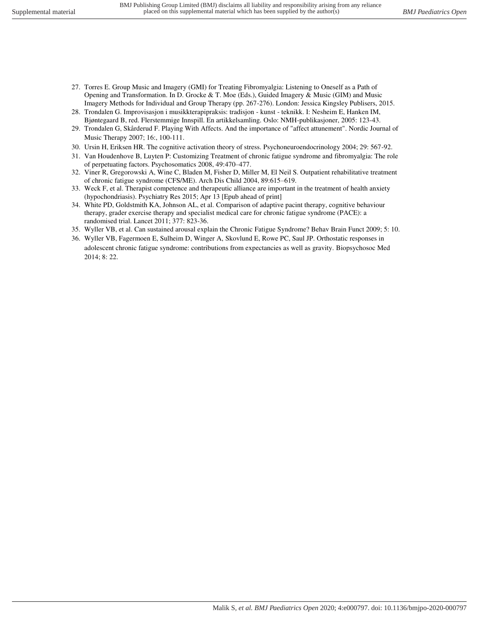- 27. Torres E. Group Music and Imagery (GMI) for Treating Fibromyalgia: Listening to Oneself as a Path of Opening and Transformation. In D. Grocke & T. Moe (Eds.), Guided Imagery & Music (GIM) and Music Imagery Methods for Individual and Group Therapy (pp. 267-276). London: Jessica Kingsley Publisers, 2015.
- 28. Trondalen G. Improvisasjon i musikkterapipraksis: tradisjon kunst teknikk. I: Nesheim E, Hanken IM, Bjøntegaard B, red. Flerstemmige Innspill. En artikkelsamling. Oslo: NMH-publikasjoner, 2005: 123-43.
- 29. Trondalen G, Skårderud F. Playing With Affects. And the importance of "affect attunement". Nordic Journal of Music Therapy 2007; 16:, 100-111.
- 30. Ursin H, Eriksen HR. The cognitive activation theory of stress. Psychoneuroendocrinology 2004; 29: 567-92.
- 31. Van Houdenhove B, Luyten P: Customizing Treatment of chronic fatigue syndrome and fibromyalgia: The role of perpetuating factors. Psychosomatics 2008, 49:470–477.
- 32. Viner R, Gregorowski A, Wine C, Bladen M, Fisher D, Miller M, El Neil S. Outpatient rehabilitative treatment of chronic fatigue syndrome (CFS/ME). Arch Dis Child 2004, 89:615–619.
- 33. Weck F, et al. Therapist competence and therapeutic alliance are important in the treatment of health anxiety (hypochondriasis). Psychiatry Res 2015; Apr 13 [Epub ahead of print]
- 34. White PD, Goldstmith KA, Johnson AL, et al. Comparison of adaptive pacint therapy, cognitive behaviour therapy, grader exercise therapy and specialist medical care for chronic fatigue syndrome (PACE): a randomised trial. Lancet 2011; 377: 823-36.
- 35. Wyller VB, et al. Can sustained arousal explain the Chronic Fatigue Syndrome? Behav Brain Funct 2009; 5: 10.
- 36. Wyller VB, Fagermoen E, Sulheim D, Winger A, Skovlund E, Rowe PC, Saul JP. Orthostatic responses in adolescent chronic fatigue syndrome: contributions from expectancies as well as gravity. Biopsychosoc Med 2014; 8: 22.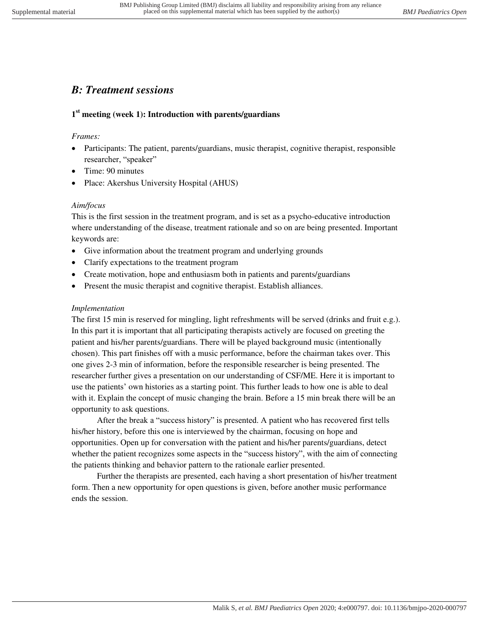# *B: Treatment sessions*

## **1 st meeting (week 1): Introduction with parents/guardians**

#### *Frames:*

- Participants: The patient, parents/guardians, music therapist, cognitive therapist, responsible researcher, "speaker"
- Time: 90 minutes
- Place: Akershus University Hospital (AHUS)

#### *Aim/focus*

This is the first session in the treatment program, and is set as a psycho-educative introduction where understanding of the disease, treatment rationale and so on are being presented. Important keywords are:

- Give information about the treatment program and underlying grounds
- Clarify expectations to the treatment program
- Create motivation, hope and enthusiasm both in patients and parents/guardians
- Present the music therapist and cognitive therapist. Establish alliances.

#### *Implementation*

The first 15 min is reserved for mingling, light refreshments will be served (drinks and fruit e.g.). In this part it is important that all participating therapists actively are focused on greeting the patient and his/her parents/guardians. There will be played background music (intentionally chosen). This part finishes off with a music performance, before the chairman takes over. This one gives 2-3 min of information, before the responsible researcher is being presented. The researcher further gives a presentation on our understanding of CSF/ME. Here it is important to use the patients' own histories as a starting point. This further leads to how one is able to deal with it. Explain the concept of music changing the brain. Before a 15 min break there will be an opportunity to ask questions.

 After the break a "success history" is presented. A patient who has recovered first tells his/her history, before this one is interviewed by the chairman, focusing on hope and opportunities. Open up for conversation with the patient and his/her parents/guardians, detect whether the patient recognizes some aspects in the "success history", with the aim of connecting the patients thinking and behavior pattern to the rationale earlier presented.

 Further the therapists are presented, each having a short presentation of his/her treatment form. Then a new opportunity for open questions is given, before another music performance ends the session.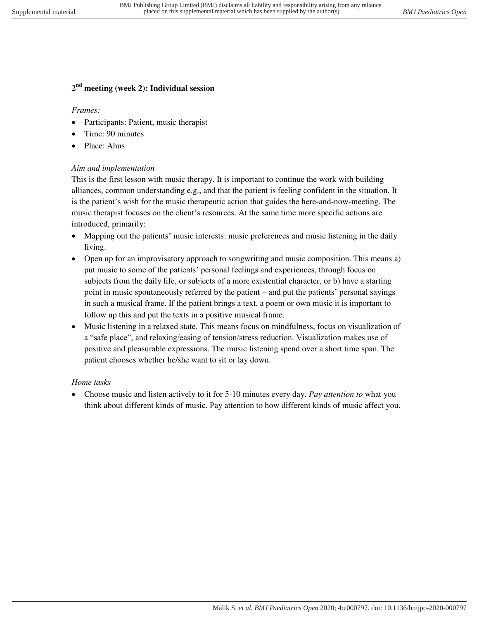## **2 nd meeting (week 2): Individual session**

#### *Frames:*

- Participants: Patient, music therapist
- Time: 90 minutes
- Place: Ahus

#### *Aim and implementation*

This is the first lesson with music therapy. It is important to continue the work with building alliances, common understanding e.g., and that the patient is feeling confident in the situation. It is the patient's wish for the music therapeutic action that guides the here-and-now-meeting. The music therapist focuses on the client's resources. At the same time more specific actions are introduced, primarily:

- Mapping out the patients' music interests: music preferences and music listening in the daily living.
- Open up for an improvisatory approach to songwriting and music composition. This means a) put music to some of the patients' personal feelings and experiences, through focus on subjects from the daily life, or subjects of a more existential character, or b) have a starting point in music spontaneously referred by the patient – and put the patients' personal sayings in such a musical frame. If the patient brings a text, a poem or own music it is important to follow up this and put the texts in a positive musical frame.
- Music listening in a relaxed state. This means focus on mindfulness, focus on visualization of a "safe place", and relaxing/easing of tension/stress reduction. Visualization makes use of positive and pleasurable expressions. The music listening spend over a short time span. The patient chooses whether he/she want to sit or lay down.

#### *Home tasks*

 Choose music and listen actively to it for 5-10 minutes every day. *Pay attention to* what you think about different kinds of music. Pay attention to how different kinds of music affect you.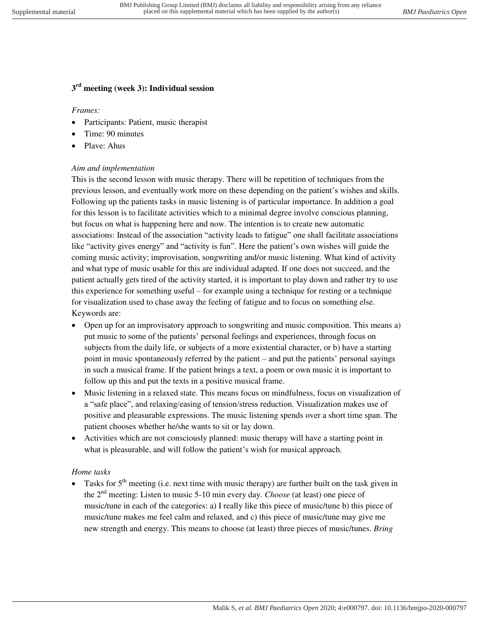## **3 rd meeting (week 3): Individual session**

#### *Frames:*

- Participants: Patient, music therapist
- Time: 90 minutes
- Plave: Ahus

#### *Aim and implementation*

This is the second lesson with music therapy. There will be repetition of techniques from the previous lesson, and eventually work more on these depending on the patient's wishes and skills. Following up the patients tasks in music listening is of particular importance. In addition a goal for this lesson is to facilitate activities which to a minimal degree involve conscious planning, but focus on what is happening here and now. The intention is to create new automatic associations: Instead of the association "activity leads to fatigue" one shall facilitate associations like "activity gives energy" and "activity is fun". Here the patient's own wishes will guide the coming music activity; improvisation, songwriting and/or music listening. What kind of activity and what type of music usable for this are individual adapted. If one does not succeed, and the patient actually gets tired of the activity started, it is important to play down and rather try to use this experience for something useful – for example using a technique for resting or a technique for visualization used to chase away the feeling of fatigue and to focus on something else. Keywords are:

- Open up for an improvisatory approach to songwriting and music composition. This means a) put music to some of the patients' personal feelings and experiences, through focus on subjects from the daily life, or subjects of a more existential character, or b) have a starting point in music spontaneously referred by the patient – and put the patients' personal sayings in such a musical frame. If the patient brings a text, a poem or own music it is important to follow up this and put the texts in a positive musical frame.
- Music listening in a relaxed state. This means focus on mindfulness, focus on visualization of a "safe place", and relaxing/easing of tension/stress reduction. Visualization makes use of positive and pleasurable expressions. The music listening spends over a short time span. The patient chooses whether he/she wants to sit or lay down.
- Activities which are not consciously planned: music therapy will have a starting point in what is pleasurable, and will follow the patient's wish for musical approach.

#### *Home tasks*

Tasks for  $5<sup>th</sup>$  meeting (i.e. next time with music therapy) are further built on the task given in the 2nd meeting: Listen to music 5-10 min every day. *Choose* (at least) one piece of music/tune in each of the categories: a) I really like this piece of music/tune b) this piece of music/tune makes me feel calm and relaxed, and c) this piece of music/tune may give me new strength and energy. This means to choose (at least) three pieces of music/tunes. *Bring*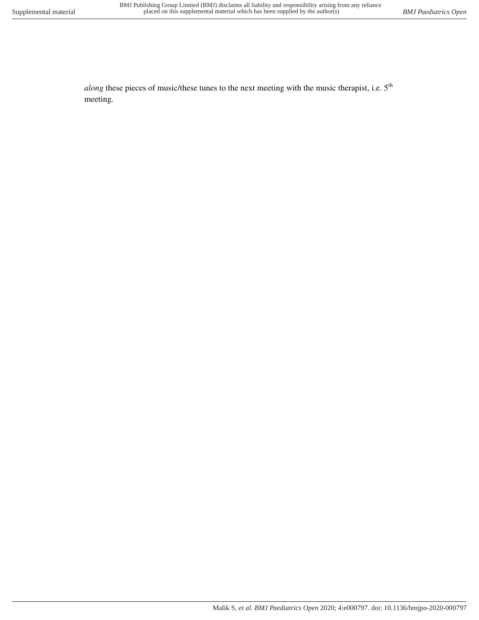*along* these pieces of music/these tunes to the next meeting with the music therapist, i.e. 5<sup>th</sup> meeting.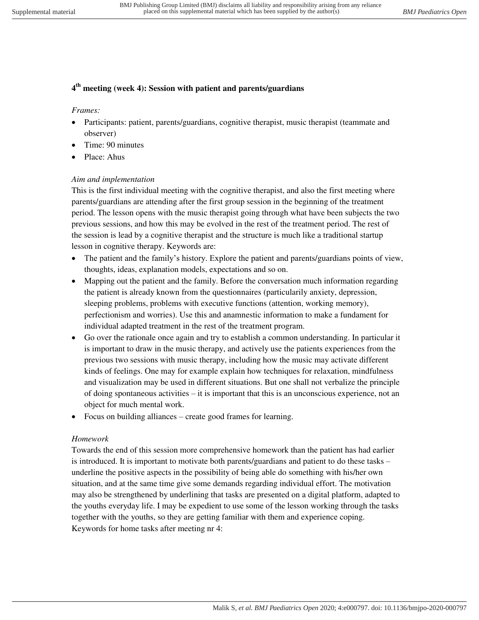## **4 th meeting (week 4): Session with patient and parents/guardians**

#### *Frames:*

- Participants: patient, parents/guardians, cognitive therapist, music therapist (teammate and observer)
- Time: 90 minutes
- Place: Ahus

#### *Aim and implementation*

This is the first individual meeting with the cognitive therapist, and also the first meeting where parents/guardians are attending after the first group session in the beginning of the treatment period. The lesson opens with the music therapist going through what have been subjects the two previous sessions, and how this may be evolved in the rest of the treatment period. The rest of the session is lead by a cognitive therapist and the structure is much like a traditional startup lesson in cognitive therapy. Keywords are:

- The patient and the family's history. Explore the patient and parents/guardians points of view, thoughts, ideas, explanation models, expectations and so on.
- Mapping out the patient and the family. Before the conversation much information regarding the patient is already known from the questionnaires (particularily anxiety, depression, sleeping problems, problems with executive functions (attention, working memory), perfectionism and worries). Use this and anamnestic information to make a fundament for individual adapted treatment in the rest of the treatment program.
- Go over the rationale once again and try to establish a common understanding. In particular it is important to draw in the music therapy, and actively use the patients experiences from the previous two sessions with music therapy, including how the music may activate different kinds of feelings. One may for example explain how techniques for relaxation, mindfulness and visualization may be used in different situations. But one shall not verbalize the principle of doing spontaneous activities – it is important that this is an unconscious experience, not an object for much mental work.
- Focus on building alliances create good frames for learning.

#### *Homework*

Towards the end of this session more comprehensive homework than the patient has had earlier is introduced. It is important to motivate both parents/guardians and patient to do these tasks – underline the positive aspects in the possibility of being able do something with his/her own situation, and at the same time give some demands regarding individual effort. The motivation may also be strengthened by underlining that tasks are presented on a digital platform, adapted to the youths everyday life. I may be expedient to use some of the lesson working through the tasks together with the youths, so they are getting familiar with them and experience coping. Keywords for home tasks after meeting nr 4: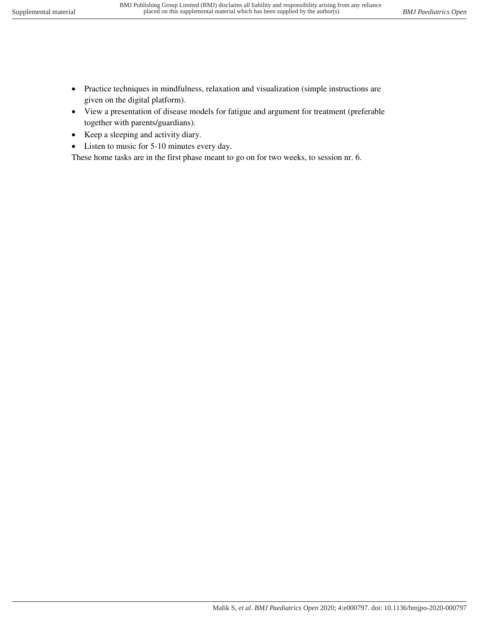- Practice techniques in mindfulness, relaxation and visualization (simple instructions are given on the digital platform).
- View a presentation of disease models for fatigue and argument for treatment (preferable together with parents/guardians).
- Keep a sleeping and activity diary.
- Listen to music for 5-10 minutes every day.

These home tasks are in the first phase meant to go on for two weeks, to session nr. 6.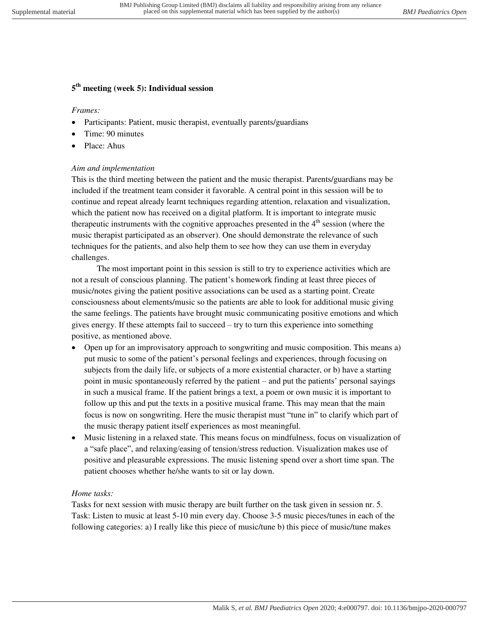## **5 th meeting (week 5): Individual session**

## *Frames:*

- Participants: Patient, music therapist, eventually parents/guardians
- Time: 90 minutes
- Place: Ahus

## *Aim and implementation*

This is the third meeting between the patient and the music therapist. Parents/guardians may be included if the treatment team consider it favorable. A central point in this session will be to continue and repeat already learnt techniques regarding attention, relaxation and visualization, which the patient now has received on a digital platform. It is important to integrate music therapeutic instruments with the cognitive approaches presented in the  $4<sup>th</sup>$  session (where the music therapist participated as an observer). One should demonstrate the relevance of such techniques for the patients, and also help them to see how they can use them in everyday challenges.

 The most important point in this session is still to try to experience activities which are not a result of conscious planning. The patient's homework finding at least three pieces of music/notes giving the patient positive associations can be used as a starting point. Create consciousness about elements/music so the patients are able to look for additional music giving the same feelings. The patients have brought music communicating positive emotions and which gives energy. If these attempts fail to succeed – try to turn this experience into something positive, as mentioned above.

- Open up for an improvisatory approach to songwriting and music composition. This means a) put music to some of the patient's personal feelings and experiences, through focusing on subjects from the daily life, or subjects of a more existential character, or b) have a starting point in music spontaneously referred by the patient – and put the patients' personal sayings in such a musical frame. If the patient brings a text, a poem or own music it is important to follow up this and put the texts in a positive musical frame. This may mean that the main focus is now on songwriting. Here the music therapist must "tune in" to clarify which part of the music therapy patient itself experiences as most meaningful.
- Music listening in a relaxed state. This means focus on mindfulness, focus on visualization of a "safe place", and relaxing/easing of tension/stress reduction. Visualization makes use of positive and pleasurable expressions. The music listening spend over a short time span. The patient chooses whether he/she wants to sit or lay down.

## *Home tasks:*

Tasks for next session with music therapy are built further on the task given in session nr. 5. Task: Listen to music at least 5-10 min every day. Choose 3-5 music pieces/tunes in each of the following categories: a) I really like this piece of music/tune b) this piece of music/tune makes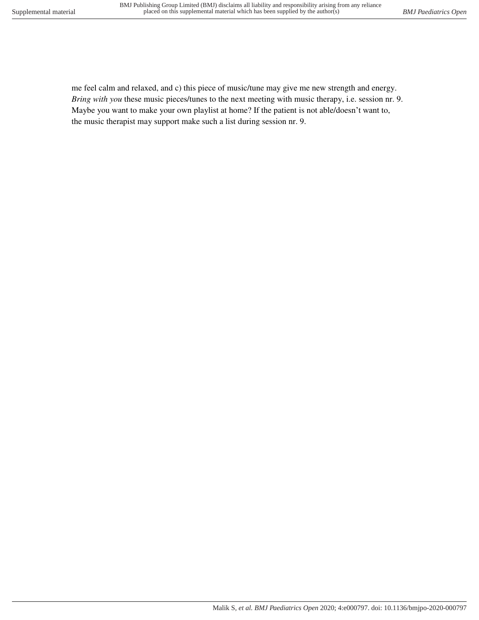me feel calm and relaxed, and c) this piece of music/tune may give me new strength and energy. *Bring with you* these music pieces/tunes to the next meeting with music therapy, i.e. session nr. 9. Maybe you want to make your own playlist at home? If the patient is not able/doesn't want to, the music therapist may support make such a list during session nr. 9.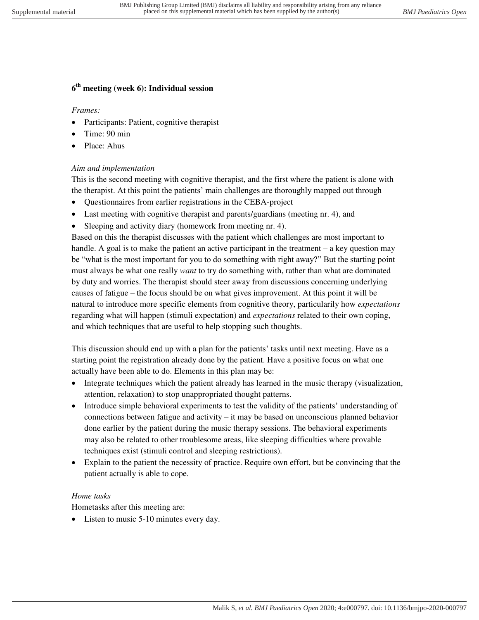## **6 th meeting (week 6): Individual session**

*Frames:* 

- Participants: Patient, cognitive therapist
- Time: 90 min
- Place: Ahus

#### *Aim and implementation*

This is the second meeting with cognitive therapist, and the first where the patient is alone with the therapist. At this point the patients' main challenges are thoroughly mapped out through

- Questionnaires from earlier registrations in the CEBA-project
- Last meeting with cognitive therapist and parents/guardians (meeting nr. 4), and
- Sleeping and activity diary (homework from meeting nr. 4).

Based on this the therapist discusses with the patient which challenges are most important to handle. A goal is to make the patient an active participant in the treatment – a key question may be "what is the most important for you to do something with right away?" But the starting point must always be what one really *want* to try do something with, rather than what are dominated by duty and worries. The therapist should steer away from discussions concerning underlying causes of fatigue – the focus should be on what gives improvement. At this point it will be natural to introduce more specific elements from cognitive theory, particularily how *expectations* regarding what will happen (stimuli expectation) and *expectations* related to their own coping, and which techniques that are useful to help stopping such thoughts.

This discussion should end up with a plan for the patients' tasks until next meeting. Have as a starting point the registration already done by the patient. Have a positive focus on what one actually have been able to do. Elements in this plan may be:

- Integrate techniques which the patient already has learned in the music therapy (visualization, attention, relaxation) to stop unappropriated thought patterns.
- Introduce simple behavioral experiments to test the validity of the patients' understanding of connections between fatigue and activity – it may be based on unconscious planned behavior done earlier by the patient during the music therapy sessions. The behavioral experiments may also be related to other troublesome areas, like sleeping difficulties where provable techniques exist (stimuli control and sleeping restrictions).
- Explain to the patient the necessity of practice. Require own effort, but be convincing that the patient actually is able to cope.

#### *Home tasks*

Hometasks after this meeting are:

• Listen to music 5-10 minutes every day.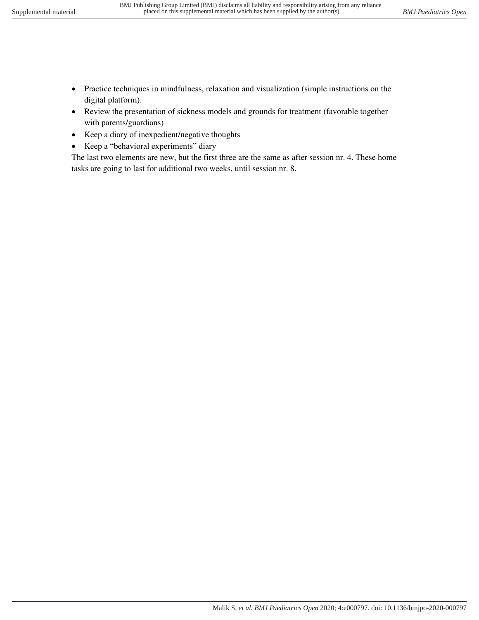- Practice techniques in mindfulness, relaxation and visualization (simple instructions on the digital platform).
- Review the presentation of sickness models and grounds for treatment (favorable together with parents/guardians)
- Keep a diary of inexpedient/negative thoughts
- Keep a "behavioral experiments" diary

The last two elements are new, but the first three are the same as after session nr. 4. These home tasks are going to last for additional two weeks, until session nr. 8.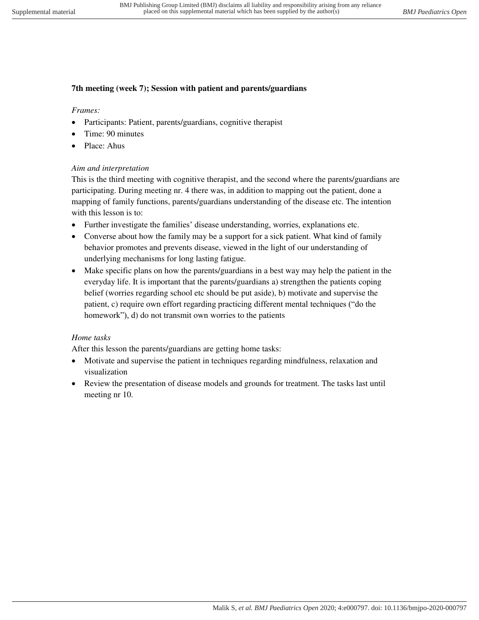#### **7th meeting (week 7); Session with patient and parents/guardians**

#### *Frames:*

- Participants: Patient, parents/guardians, cognitive therapist
- Time: 90 minutes
- Place: Ahus

#### *Aim and interpretation*

This is the third meeting with cognitive therapist, and the second where the parents/guardians are participating. During meeting nr. 4 there was, in addition to mapping out the patient, done a mapping of family functions, parents/guardians understanding of the disease etc. The intention with this lesson is to:

- Further investigate the families' disease understanding, worries, explanations etc.
- Converse about how the family may be a support for a sick patient. What kind of family behavior promotes and prevents disease, viewed in the light of our understanding of underlying mechanisms for long lasting fatigue.
- Make specific plans on how the parents/guardians in a best way may help the patient in the everyday life. It is important that the parents/guardians a) strengthen the patients coping belief (worries regarding school etc should be put aside), b) motivate and supervise the patient, c) require own effort regarding practicing different mental techniques ("do the homework"), d) do not transmit own worries to the patients

## *Home tasks*

After this lesson the parents/guardians are getting home tasks:

- Motivate and supervise the patient in techniques regarding mindfulness, relaxation and visualization
- Review the presentation of disease models and grounds for treatment. The tasks last until meeting nr 10.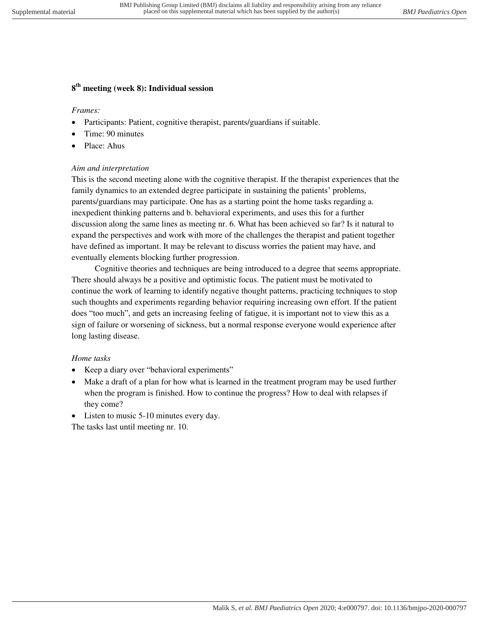## **8 th meeting (week 8): Individual session**

#### *Frames:*

- Participants: Patient, cognitive therapist, parents/guardians if suitable.
- Time: 90 minutes
- Place: Ahus

#### *Aim and interpretation*

This is the second meeting alone with the cognitive therapist. If the therapist experiences that the family dynamics to an extended degree participate in sustaining the patients' problems, parents/guardians may participate. One has as a starting point the home tasks regarding a. inexpedient thinking patterns and b. behavioral experiments, and uses this for a further discussion along the same lines as meeting nr. 6. What has been achieved so far? Is it natural to expand the perspectives and work with more of the challenges the therapist and patient together have defined as important. It may be relevant to discuss worries the patient may have, and eventually elements blocking further progression.

 Cognitive theories and techniques are being introduced to a degree that seems appropriate. There should always be a positive and optimistic focus. The patient must be motivated to continue the work of learning to identify negative thought patterns, practicing techniques to stop such thoughts and experiments regarding behavior requiring increasing own effort. If the patient does "too much", and gets an increasing feeling of fatigue, it is important not to view this as a sign of failure or worsening of sickness, but a normal response everyone would experience after long lasting disease.

#### *Home tasks*

- Keep a diary over "behavioral experiments"
- Make a draft of a plan for how what is learned in the treatment program may be used further when the program is finished. How to continue the progress? How to deal with relapses if they come?
- Listen to music 5-10 minutes every day.

The tasks last until meeting nr. 10.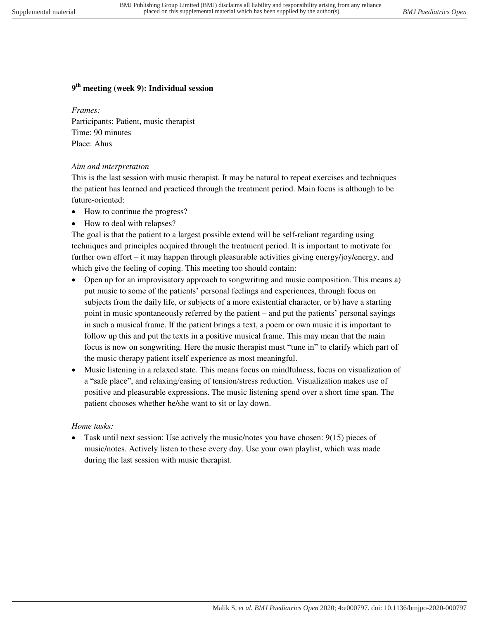## **9 th meeting (week 9): Individual session**

#### *Frames:*

Participants: Patient, music therapist Time: 90 minutes Place: Ahus

#### *Aim and interpretation*

This is the last session with music therapist. It may be natural to repeat exercises and techniques the patient has learned and practiced through the treatment period. Main focus is although to be future-oriented:

- How to continue the progress?
- How to deal with relapses?

The goal is that the patient to a largest possible extend will be self-reliant regarding using techniques and principles acquired through the treatment period. It is important to motivate for further own effort – it may happen through pleasurable activities giving energy/joy/energy, and which give the feeling of coping. This meeting too should contain:

- Open up for an improvisatory approach to songwriting and music composition. This means a) put music to some of the patients' personal feelings and experiences, through focus on subjects from the daily life, or subjects of a more existential character, or b) have a starting point in music spontaneously referred by the patient – and put the patients' personal sayings in such a musical frame. If the patient brings a text, a poem or own music it is important to follow up this and put the texts in a positive musical frame. This may mean that the main focus is now on songwriting. Here the music therapist must "tune in" to clarify which part of the music therapy patient itself experience as most meaningful.
- Music listening in a relaxed state. This means focus on mindfulness, focus on visualization of a "safe place", and relaxing/easing of tension/stress reduction. Visualization makes use of positive and pleasurable expressions. The music listening spend over a short time span. The patient chooses whether he/she want to sit or lay down.

#### *Home tasks:*

 Task until next session: Use actively the music/notes you have chosen: 9(15) pieces of music/notes. Actively listen to these every day. Use your own playlist, which was made during the last session with music therapist.